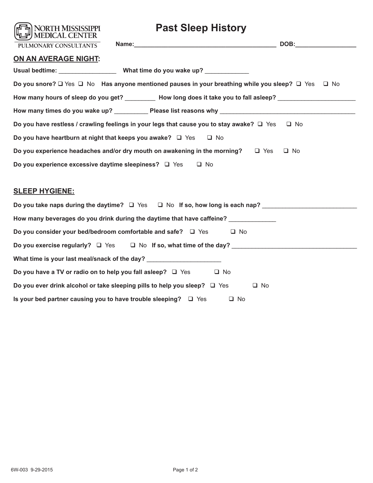| <b>Past Sleep History</b><br><b>NORTH MISSISSIPPI</b><br>MEDICAL CENTER                                        |
|----------------------------------------------------------------------------------------------------------------|
| PULMONARY CONSULTANTS                                                                                          |
| ON AN AVERAGE NIGHT:                                                                                           |
|                                                                                                                |
| Do you snore? □ Yes □ No Has anyone mentioned pauses in your breathing while you sleep? □ Yes<br>$\Box$ No     |
| How many hours of sleep do you get? _________ How long does it take you to fall asleep? _____________________  |
|                                                                                                                |
| Do you have restless / crawling feelings in your legs that cause you to stay awake? $\square$ Yes<br>$\Box$ No |
| Do you have heartburn at night that keeps you awake? $\square$ Yes<br>$\Box$ No                                |
| Do you experience headaches and/or dry mouth on awakening in the morning?<br>$\Box$ Yes<br>$\Box$ No           |
| Do you experience excessive daytime sleepiness? $\Box$ Yes<br>$\Box$ No                                        |
|                                                                                                                |
| <b>SLEEP HYGIENE:</b>                                                                                          |
| Do you take naps during the daytime? $\Box$ Yes $\Box$ No If so, how long is each nap?                         |
| How many beverages do you drink during the daytime that have caffeine? _____________                           |
| Do you consider your bed/bedroom comfortable and safe? $\Box$ Yes<br>□ No                                      |
|                                                                                                                |
| What time is your last meal/snack of the day? __________________________________                               |
| Do you have a TV or radio on to help you fall asleep? $\Box$ Yes<br>$\Box$ No                                  |
| Do you ever drink alcohol or take sleeping pills to help you sleep? $\square$ Yes<br>$\Box$ No                 |
| Is your bed partner causing you to have trouble sleeping? $\Box$ Yes<br>$\Box$ No                              |